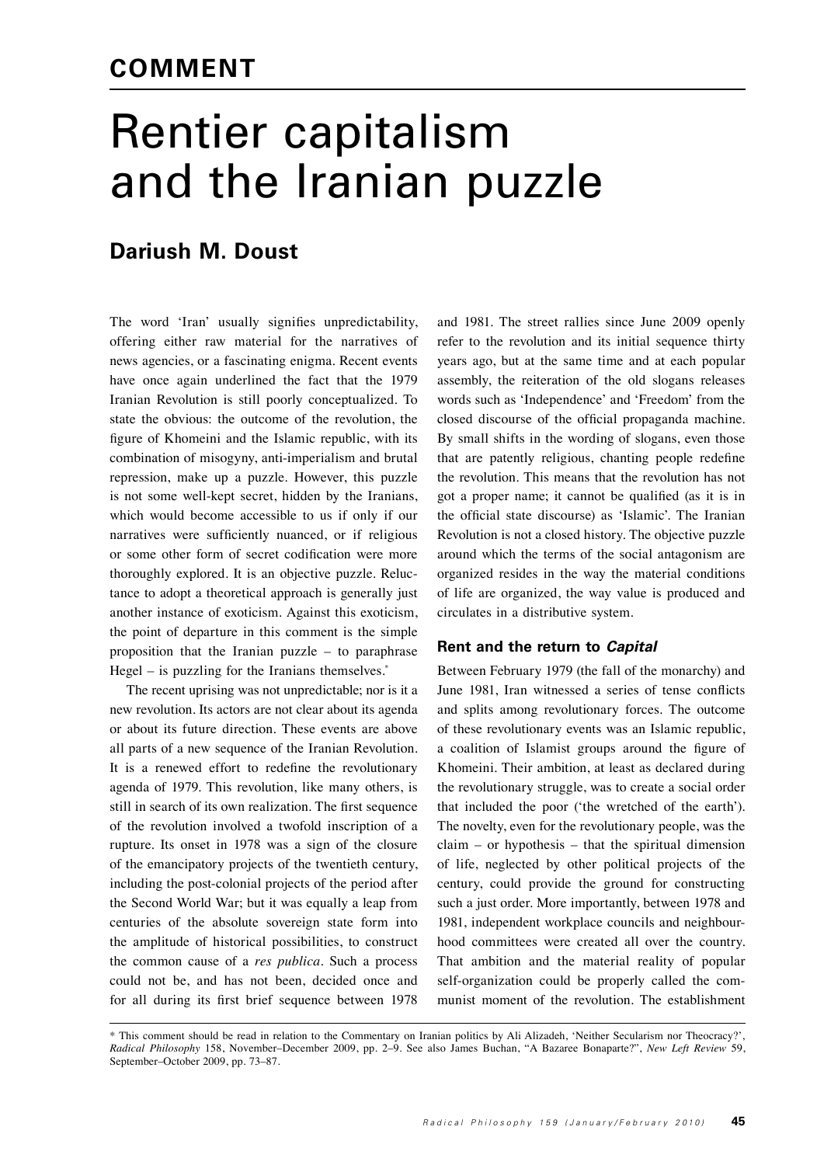# Rentier capitalism and the Iranian puzzle

## **Dariush M. Doust**

The word 'Iran' usually signifies unpredictability, offering either raw material for the narratives of news agencies, or a fascinating enigma. Recent events have once again underlined the fact that the 1979 Iranian Revolution is still poorly conceptualized. To state the obvious: the outcome of the revolution, the figure of Khomeini and the Islamic republic, with its combination of misogyny, anti-imperialism and brutal repression, make up a puzzle. However, this puzzle is not some well-kept secret, hidden by the Iranians, which would become accessible to us if only if our narratives were sufficiently nuanced, or if religious or some other form of secret codification were more thoroughly explored. It is an objective puzzle. Reluctance to adopt a theoretical approach is generally just another instance of exoticism. Against this exoticism, the point of departure in this comment is the simple proposition that the Iranian puzzle – to paraphrase Hegel – is puzzling for the Iranians themselves. $*$ 

The recent uprising was not unpredictable; nor is it a new revolution. Its actors are not clear about its agenda or about its future direction. These events are above all parts of a new sequence of the Iranian Revolution. It is a renewed effort to redefine the revolutionary agenda of 1979. This revolution, like many others, is still in search of its own realization. The first sequence of the revolution involved a twofold inscription of a rupture. Its onset in 1978 was a sign of the closure of the emancipatory projects of the twentieth century, including the post-colonial projects of the period after the Second World War; but it was equally a leap from centuries of the absolute sovereign state form into the amplitude of historical possibilities, to construct the common cause of a *res publica*. Such a process could not be, and has not been, decided once and for all during its first brief sequence between 1978 and 1981. The street rallies since June 2009 openly refer to the revolution and its initial sequence thirty years ago, but at the same time and at each popular assembly, the reiteration of the old slogans releases words such as 'Independence' and 'Freedom' from the closed discourse of the official propaganda machine. By small shifts in the wording of slogans, even those that are patently religious, chanting people redefine the revolution. This means that the revolution has not got a proper name; it cannot be qualified (as it is in the official state discourse) as 'Islamic'. The Iranian Revolution is not a closed history. The objective puzzle around which the terms of the social antagonism are organized resides in the way the material conditions of life are organized, the way value is produced and circulates in a distributive system.

### **Rent and the return to** *Capital*

Between February 1979 (the fall of the monarchy) and June 1981, Iran witnessed a series of tense conflicts and splits among revolutionary forces. The outcome of these revolutionary events was an Islamic republic, a coalition of Islamist groups around the figure of Khomeini. Their ambition, at least as declared during the revolutionary struggle, was to create a social order that included the poor ('the wretched of the earth'). The novelty, even for the revolutionary people, was the claim – or hypothesis – that the spiritual dimension of life, neglected by other political projects of the century, could provide the ground for constructing such a just order. More importantly, between 1978 and 1981, independent workplace councils and neighbourhood committees were created all over the country. That ambition and the material reality of popular self-organization could be properly called the communist moment of the revolution. The establishment

<sup>\*</sup> This comment should be read in relation to the Commentary on Iranian politics by Ali Alizadeh, 'Neither Secularism nor Theocracy?', *Radical Philosophy* 158, November–December 2009, pp. 2–9. See also James Buchan, "A Bazaree Bonaparte?", *New Left Review* 59, September–October 2009, pp. 73–87.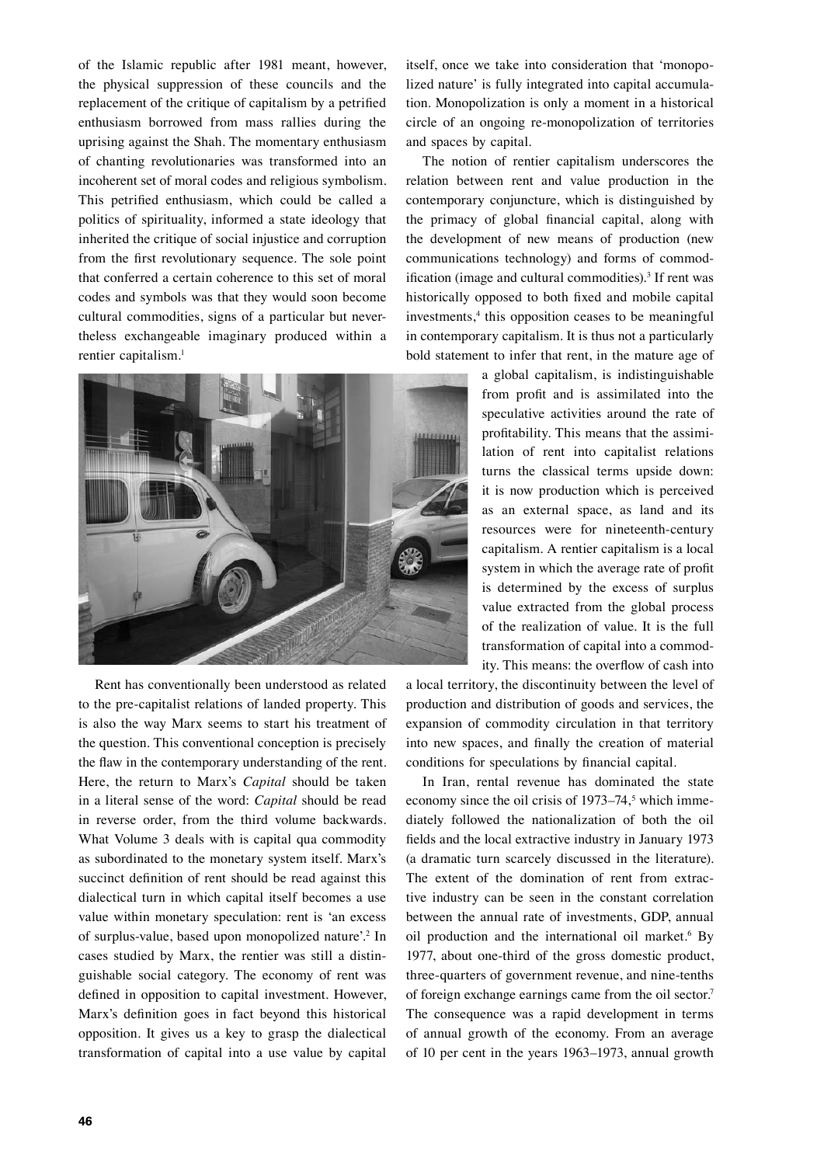of the Islamic republic after 1981 meant, however, the physical suppression of these councils and the replacement of the critique of capitalism by a petrified enthusiasm borrowed from mass rallies during the uprising against the Shah. The momentary enthusiasm of chanting revolutionaries was transformed into an incoherent set of moral codes and religious symbolism. This petrified enthusiasm, which could be called a politics of spirituality, informed a state ideology that inherited the critique of social injustice and corruption from the first revolutionary sequence. The sole point that conferred a certain coherence to this set of moral codes and symbols was that they would soon become cultural commodities, signs of a particular but nevertheless exchangeable imaginary produced within a rentier capitalism.1



Rent has conventionally been understood as related to the pre-capitalist relations of landed property. This is also the way Marx seems to start his treatment of the question. This conventional conception is precisely the flaw in the contemporary understanding of the rent. Here, the return to Marx's *Capital* should be taken in a literal sense of the word: *Capital* should be read in reverse order, from the third volume backwards. What Volume 3 deals with is capital qua commodity as subordinated to the monetary system itself. Marx's succinct definition of rent should be read against this dialectical turn in which capital itself becomes a use value within monetary speculation: rent is 'an excess of surplus-value, based upon monopolized nature'.2 In cases studied by Marx, the rentier was still a distinguishable social category. The economy of rent was defined in opposition to capital investment. However, Marx's definition goes in fact beyond this historical opposition. It gives us a key to grasp the dialectical transformation of capital into a use value by capital

itself, once we take into consideration that 'monopolized nature' is fully integrated into capital accumulation. Monopolization is only a moment in a historical circle of an ongoing re-monopolization of territories and spaces by capital.

The notion of rentier capitalism underscores the relation between rent and value production in the contemporary conjuncture, which is distinguished by the primacy of global financial capital, along with the development of new means of production (new communications technology) and forms of commodification (image and cultural commodities).<sup>3</sup> If rent was historically opposed to both fixed and mobile capital investments,<sup>4</sup> this opposition ceases to be meaningful in contemporary capitalism. It is thus not a particularly bold statement to infer that rent, in the mature age of

> a global capitalism, is indistinguishable from profit and is assimilated into the speculative activities around the rate of profitability. This means that the assimilation of rent into capitalist relations turns the classical terms upside down: it is now production which is perceived as an external space, as land and its resources were for nineteenth-century capitalism. A rentier capitalism is a local system in which the average rate of profit is determined by the excess of surplus value extracted from the global process of the realization of value. It is the full transformation of capital into a commodity. This means: the overflow of cash into

a local territory, the discontinuity between the level of production and distribution of goods and services, the expansion of commodity circulation in that territory into new spaces, and finally the creation of material conditions for speculations by financial capital.

In Iran, rental revenue has dominated the state economy since the oil crisis of  $1973-74$ ,<sup>5</sup> which immediately followed the nationalization of both the oil fields and the local extractive industry in January 1973 (a dramatic turn scarcely discussed in the literature). The extent of the domination of rent from extractive industry can be seen in the constant correlation between the annual rate of investments, GDP, annual oil production and the international oil market.<sup>6</sup> By 1977, about one-third of the gross domestic product, three-quarters of government revenue, and nine-tenths of foreign exchange earnings came from the oil sector.7 The consequence was a rapid development in terms of annual growth of the economy. From an average of 10 per cent in the years 1963–1973, annual growth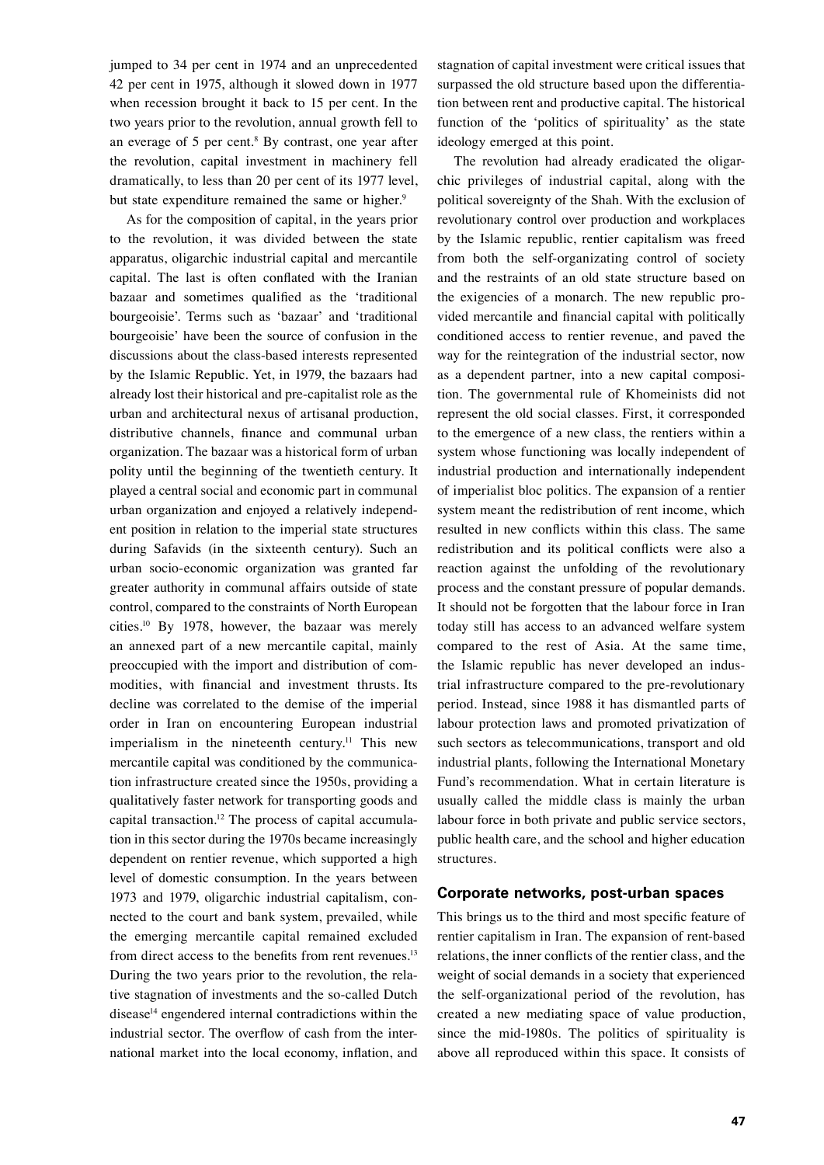jumped to 34 per cent in 1974 and an unprecedented 42 per cent in 1975, although it slowed down in 1977 when recession brought it back to 15 per cent. In the two years prior to the revolution, annual growth fell to an everage of  $5$  per cent.<sup>8</sup> By contrast, one year after the revolution, capital investment in machinery fell dramatically, to less than 20 per cent of its 1977 level, but state expenditure remained the same or higher.<sup>9</sup>

As for the composition of capital, in the years prior to the revolution, it was divided between the state apparatus, oligarchic industrial capital and mercantile capital. The last is often conflated with the Iranian bazaar and sometimes qualified as the 'traditional bourgeoisie'. Terms such as 'bazaar' and 'traditional bourgeoisie' have been the source of confusion in the discussions about the class-based interests represented by the Islamic Republic. Yet, in 1979, the bazaars had already lost their historical and pre-capitalist role as the urban and architectural nexus of artisanal production, distributive channels, finance and communal urban organization. The bazaar was a historical form of urban polity until the beginning of the twentieth century. It played a central social and economic part in communal urban organization and enjoyed a relatively independent position in relation to the imperial state structures during Safavids (in the sixteenth century). Such an urban socio-economic organization was granted far greater authority in communal affairs outside of state control, compared to the constraints of North European cities.10 By 1978, however, the bazaar was merely an annexed part of a new mercantile capital, mainly preoccupied with the import and distribution of commodities, with financial and investment thrusts. Its decline was correlated to the demise of the imperial order in Iran on encountering European industrial imperialism in the nineteenth century.<sup>11</sup> This new mercantile capital was conditioned by the communication infrastructure created since the 1950s, providing a qualitatively faster network for transporting goods and capital transaction.<sup>12</sup> The process of capital accumulation in this sector during the 1970s became increasingly dependent on rentier revenue, which supported a high level of domestic consumption. In the years between 1973 and 1979, oligarchic industrial capitalism, connected to the court and bank system, prevailed, while the emerging mercantile capital remained excluded from direct access to the benefits from rent revenues.<sup>13</sup> During the two years prior to the revolution, the relative stagnation of investments and the so-called Dutch disease $14$  engendered internal contradictions within the industrial sector. The overflow of cash from the international market into the local economy, inflation, and stagnation of capital investment were critical issues that surpassed the old structure based upon the differentiation between rent and productive capital. The historical function of the 'politics of spirituality' as the state ideology emerged at this point.

The revolution had already eradicated the oligarchic privileges of industrial capital, along with the political sovereignty of the Shah. With the exclusion of revolutionary control over production and workplaces by the Islamic republic, rentier capitalism was freed from both the self-organizating control of society and the restraints of an old state structure based on the exigencies of a monarch. The new republic provided mercantile and financial capital with politically conditioned access to rentier revenue, and paved the way for the reintegration of the industrial sector, now as a dependent partner, into a new capital composition. The governmental rule of Khomeinists did not represent the old social classes. First, it corresponded to the emergence of a new class, the rentiers within a system whose functioning was locally independent of industrial production and internationally independent of imperialist bloc politics. The expansion of a rentier system meant the redistribution of rent income, which resulted in new conflicts within this class. The same redistribution and its political conflicts were also a reaction against the unfolding of the revolutionary process and the constant pressure of popular demands. It should not be forgotten that the labour force in Iran today still has access to an advanced welfare system compared to the rest of Asia. At the same time, the Islamic republic has never developed an industrial infrastructure compared to the pre-revolutionary period. Instead, since 1988 it has dismantled parts of labour protection laws and promoted privatization of such sectors as telecommunications, transport and old industrial plants, following the International Monetary Fund's recommendation. What in certain literature is usually called the middle class is mainly the urban labour force in both private and public service sectors, public health care, and the school and higher education structures.

#### **Corporate networks, post-urban spaces**

This brings us to the third and most specific feature of rentier capitalism in Iran. The expansion of rent-based relations, the inner conflicts of the rentier class, and the weight of social demands in a society that experienced the self-organizational period of the revolution, has created a new mediating space of value production, since the mid-1980s. The politics of spirituality is above all reproduced within this space. It consists of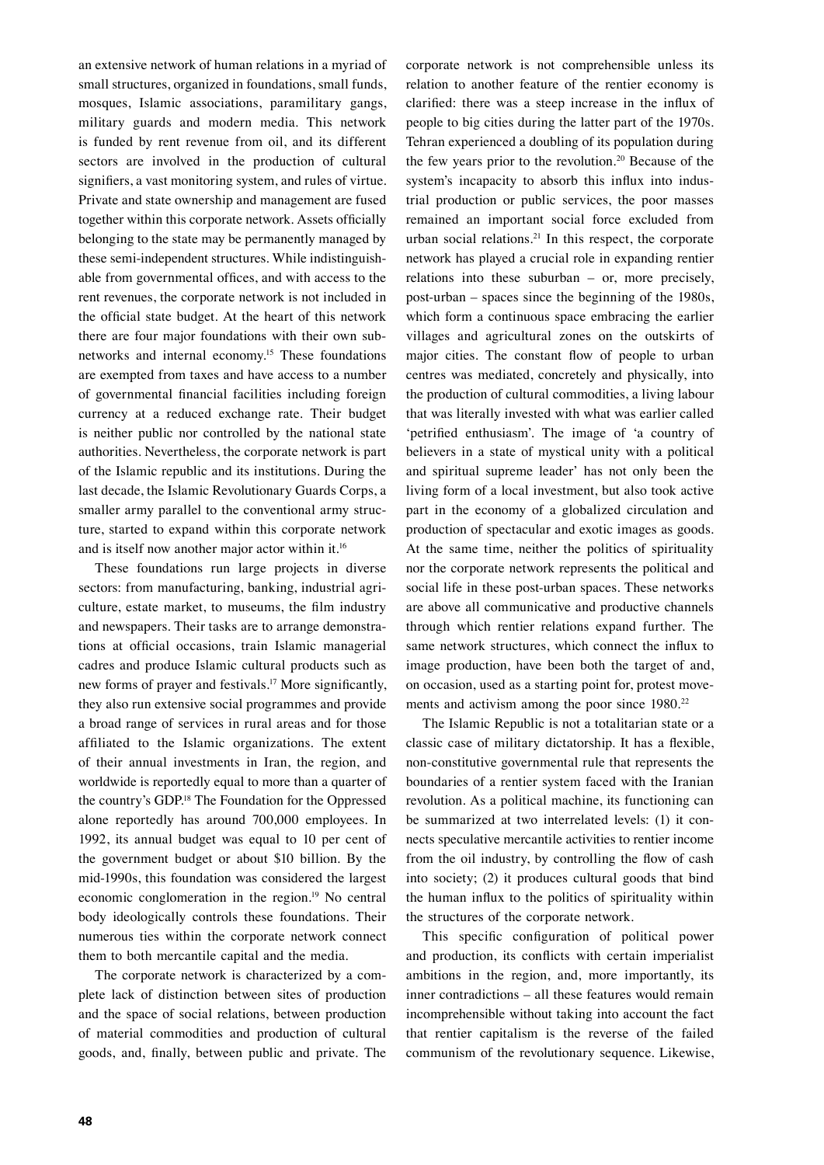an extensive network of human relations in a myriad of small structures, organized in foundations, small funds, mosques, Islamic associations, paramilitary gangs, military guards and modern media. This network is funded by rent revenue from oil, and its different sectors are involved in the production of cultural signifiers, a vast monitoring system, and rules of virtue. Private and state ownership and management are fused together within this corporate network. Assets officially belonging to the state may be permanently managed by these semi-independent structures. While indistinguishable from governmental offices, and with access to the rent revenues, the corporate network is not included in the official state budget. At the heart of this network there are four major foundations with their own subnetworks and internal economy.15 These foundations are exempted from taxes and have access to a number of governmental financial facilities including foreign currency at a reduced exchange rate. Their budget is neither public nor controlled by the national state authorities. Nevertheless, the corporate network is part of the Islamic republic and its institutions. During the last decade, the Islamic Revolutionary Guards Corps, a smaller army parallel to the conventional army structure, started to expand within this corporate network and is itself now another major actor within it.<sup>16</sup>

These foundations run large projects in diverse sectors: from manufacturing, banking, industrial agriculture, estate market, to museums, the film industry and newspapers. Their tasks are to arrange demonstrations at official occasions, train Islamic managerial cadres and produce Islamic cultural products such as new forms of prayer and festivals.17 More significantly, they also run extensive social programmes and provide a broad range of services in rural areas and for those affiliated to the Islamic organizations. The extent of their annual investments in Iran, the region, and worldwide is reportedly equal to more than a quarter of the country's GDP.18 The Foundation for the Oppressed alone reportedly has around 700,000 employees. In 1992, its annual budget was equal to 10 per cent of the government budget or about \$10 billion. By the mid-1990s, this foundation was considered the largest economic conglomeration in the region.19 No central body ideologically controls these foundations. Their numerous ties within the corporate network connect them to both mercantile capital and the media.

The corporate network is characterized by a complete lack of distinction between sites of production and the space of social relations, between production of material commodities and production of cultural goods, and, finally, between public and private. The

corporate network is not comprehensible unless its relation to another feature of the rentier economy is clarified: there was a steep increase in the influx of people to big cities during the latter part of the 1970s. Tehran experienced a doubling of its population during the few years prior to the revolution.20 Because of the system's incapacity to absorb this influx into industrial production or public services, the poor masses remained an important social force excluded from urban social relations.<sup>21</sup> In this respect, the corporate network has played a crucial role in expanding rentier relations into these suburban – or, more precisely, post-urban – spaces since the beginning of the 1980s, which form a continuous space embracing the earlier villages and agricultural zones on the outskirts of major cities. The constant flow of people to urban centres was mediated, concretely and physically, into the production of cultural commodities, a living labour that was literally invested with what was earlier called 'petrified enthusiasm'. The image of 'a country of believers in a state of mystical unity with a political and spiritual supreme leader' has not only been the living form of a local investment, but also took active part in the economy of a globalized circulation and production of spectacular and exotic images as goods. At the same time, neither the politics of spirituality nor the corporate network represents the political and social life in these post-urban spaces. These networks are above all communicative and productive channels through which rentier relations expand further. The same network structures, which connect the influx to image production, have been both the target of and, on occasion, used as a starting point for, protest movements and activism among the poor since 1980.<sup>22</sup>

The Islamic Republic is not a totalitarian state or a classic case of military dictatorship. It has a flexible, non-constitutive governmental rule that represents the boundaries of a rentier system faced with the Iranian revolution. As a political machine, its functioning can be summarized at two interrelated levels: (1) it connects speculative mercantile activities to rentier income from the oil industry, by controlling the flow of cash into society; (2) it produces cultural goods that bind the human influx to the politics of spirituality within the structures of the corporate network.

This specific configuration of political power and production, its conflicts with certain imperialist ambitions in the region, and, more importantly, its inner contradictions – all these features would remain incomprehensible without taking into account the fact that rentier capitalism is the reverse of the failed communism of the revolutionary sequence. Likewise,